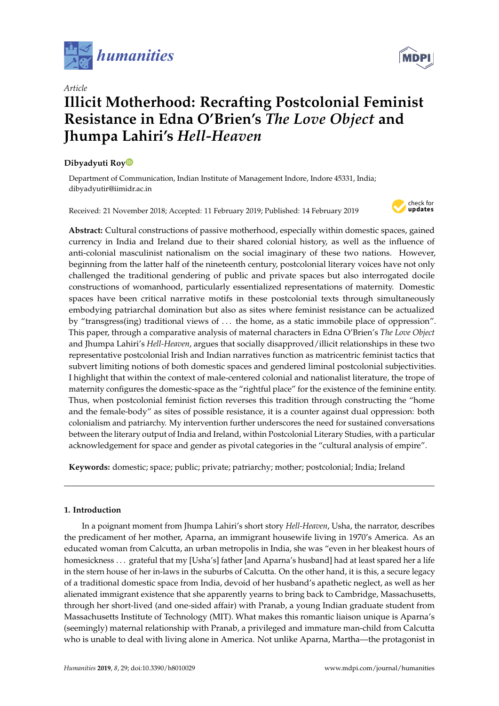

*Article*

# **Illicit Motherhood: Recrafting Postcolonial Feminist Resistance in Edna O'Brien's** *The Love Object* **and Jhumpa Lahiri's** *Hell-Heaven*

# **Dibyadyuti Roy**

Department of Communication, Indian Institute of Management Indore, Indore 45331, India; dibyadyutir@iimidr.ac.in

Received: 21 November 2018; Accepted: 11 February 2019; Published: 14 February 2019



**Abstract:** Cultural constructions of passive motherhood, especially within domestic spaces, gained currency in India and Ireland due to their shared colonial history, as well as the influence of anti-colonial masculinist nationalism on the social imaginary of these two nations. However, beginning from the latter half of the nineteenth century, postcolonial literary voices have not only challenged the traditional gendering of public and private spaces but also interrogated docile constructions of womanhood, particularly essentialized representations of maternity. Domestic spaces have been critical narrative motifs in these postcolonial texts through simultaneously embodying patriarchal domination but also as sites where feminist resistance can be actualized by "transgress(ing) traditional views of . . . the home, as a static immobile place of oppression". This paper, through a comparative analysis of maternal characters in Edna O'Brien's *The Love Object* and Jhumpa Lahiri's *Hell-Heaven*, argues that socially disapproved/illicit relationships in these two representative postcolonial Irish and Indian narratives function as matricentric feminist tactics that subvert limiting notions of both domestic spaces and gendered liminal postcolonial subjectivities. I highlight that within the context of male-centered colonial and nationalist literature, the trope of maternity configures the domestic-space as the "rightful place" for the existence of the feminine entity. Thus, when postcolonial feminist fiction reverses this tradition through constructing the "home and the female-body" as sites of possible resistance, it is a counter against dual oppression: both colonialism and patriarchy. My intervention further underscores the need for sustained conversations between the literary output of India and Ireland, within Postcolonial Literary Studies, with a particular acknowledgement for space and gender as pivotal categories in the "cultural analysis of empire".

**Keywords:** domestic; space; public; private; patriarchy; mother; postcolonial; India; Ireland

## **1. Introduction**

In a poignant moment from Jhumpa Lahiri's short story *Hell-Heaven*, Usha, the narrator, describes the predicament of her mother, Aparna, an immigrant housewife living in 1970's America. As an educated woman from Calcutta, an urban metropolis in India, she was "even in her bleakest hours of homesickness . . . grateful that my [Usha's] father [and Aparna's husband] had at least spared her a life in the stern house of her in-laws in the suburbs of Calcutta. On the other hand, it is this, a secure legacy of a traditional domestic space from India, devoid of her husband's apathetic neglect, as well as her alienated immigrant existence that she apparently yearns to bring back to Cambridge, Massachusetts, through her short-lived (and one-sided affair) with Pranab, a young Indian graduate student from Massachusetts Institute of Technology (MIT). What makes this romantic liaison unique is Aparna's (seemingly) maternal relationship with Pranab, a privileged and immature man-child from Calcutta who is unable to deal with living alone in America. Not unlike Aparna, Martha—the protagonist in

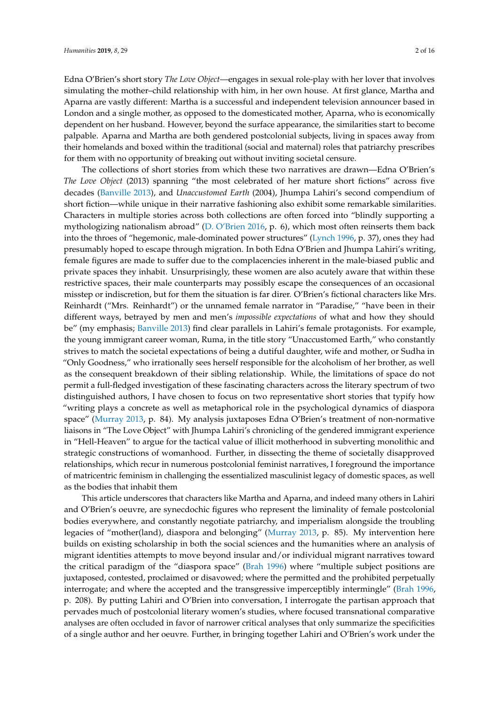Edna O'Brien's short story *The Love Object*—engages in sexual role-play with her lover that involves simulating the mother–child relationship with him, in her own house. At first glance, Martha and Aparna are vastly different: Martha is a successful and independent television announcer based in London and a single mother, as opposed to the domesticated mother, Aparna, who is economically dependent on her husband. However, beyond the surface appearance, the similarities start to become palpable. Aparna and Martha are both gendered postcolonial subjects, living in spaces away from their homelands and boxed within the traditional (social and maternal) roles that patriarchy prescribes for them with no opportunity of breaking out without inviting societal censure.

The collections of short stories from which these two narratives are drawn—Edna O'Brien's *The Love Object* (2013) spanning "the most celebrated of her mature short fictions" across five decades (Banville 2013), and *Unaccustomed Earth* (2004), Jhumpa Lahiri's second compendium of short fiction—while unique in their narrative fashioning also exhibit some remarkable similarities. Characters in multiple stories across both collections are often forced into "blindly supporting a mythologizing nationalism abroad" (D. O'Brien 2016, p. 6), which most often reinserts them back into the throes of "hegemonic, male-dominated power structures" (Lynch 1996, p. 37), ones they had presumably hoped to escape through migration. In both Edna O'Brien and Jhumpa Lahiri's writing, female figures are made to suffer due to the complacencies inherent in the male-biased public and private spaces they inhabit. Unsurprisingly, these women are also acutely aware that within these restrictive spaces, their male counterparts may possibly escape the consequences of an occasional misstep or indiscretion, but for them the situation is far direr. O'Brien's fictional characters like Mrs. Reinhardt ("Mrs. Reinhardt") or the unnamed female narrator in "Paradise," "have been in their different ways, betrayed by men and men's *impossible expectations* of what and how they should be" (my emphasis; Banville 2013) find clear parallels in Lahiri's female protagonists. For example, the young immigrant career woman, Ruma, in the title story "Unaccustomed Earth," who constantly strives to match the societal expectations of being a dutiful daughter, wife and mother, or Sudha in "Only Goodness," who irrationally sees herself responsible for the alcoholism of her brother, as well as the consequent breakdown of their sibling relationship. While, the limitations of space do not permit a full-fledged investigation of these fascinating characters across the literary spectrum of two distinguished authors, I have chosen to focus on two representative short stories that typify how "writing plays a concrete as well as metaphorical role in the psychological dynamics of diaspora space" (Murray 2013, p. 84). My analysis juxtaposes Edna O'Brien's treatment of non-normative liaisons in "The Love Object" with Jhumpa Lahiri's chronicling of the gendered immigrant experience in "Hell-Heaven" to argue for the tactical value of illicit motherhood in subverting monolithic and strategic constructions of womanhood. Further, in dissecting the theme of societally disapproved relationships, which recur in numerous postcolonial feminist narratives, I foreground the importance of matricentric feminism in challenging the essentialized masculinist legacy of domestic spaces, as well as the bodies that inhabit them

This article underscores that characters like Martha and Aparna, and indeed many others in Lahiri and O'Brien's oeuvre, are synecdochic figures who represent the liminality of female postcolonial bodies everywhere, and constantly negotiate patriarchy, and imperialism alongside the troubling legacies of "mother(land), diaspora and belonging" (Murray 2013, p. 85). My intervention here builds on existing scholarship in both the social sciences and the humanities where an analysis of migrant identities attempts to move beyond insular and/or individual migrant narratives toward the critical paradigm of the "diaspora space" (Brah 1996) where "multiple subject positions are juxtaposed, contested, proclaimed or disavowed; where the permitted and the prohibited perpetually interrogate; and where the accepted and the transgressive imperceptibly intermingle" (Brah 1996, p. 208). By putting Lahiri and O'Brien into conversation, I interrogate the partisan approach that pervades much of postcolonial literary women's studies, where focused transnational comparative analyses are often occluded in favor of narrower critical analyses that only summarize the specificities of a single author and her oeuvre. Further, in bringing together Lahiri and O'Brien's work under the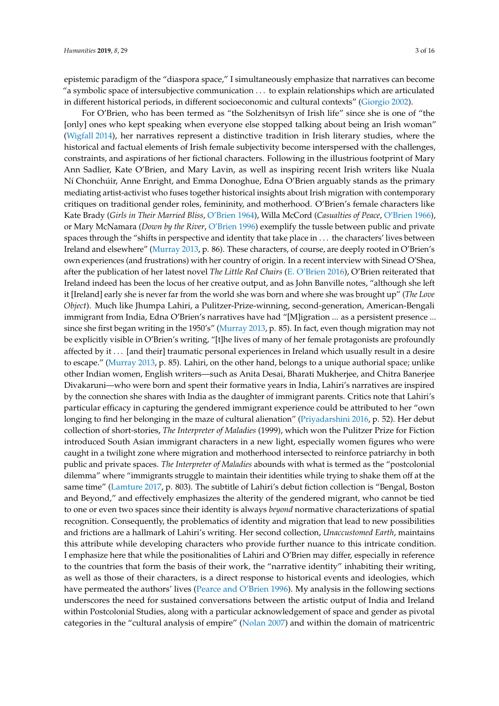epistemic paradigm of the "diaspora space," I simultaneously emphasize that narratives can become "a symbolic space of intersubjective communication . . . to explain relationships which are articulated in different historical periods, in different socioeconomic and cultural contexts" (Giorgio 2002).

For O'Brien, who has been termed as "the Solzhenitsyn of Irish life" since she is one of "the [only] ones who kept speaking when everyone else stopped talking about being an Irish woman" (Wigfall 2014), her narratives represent a distinctive tradition in Irish literary studies, where the historical and factual elements of Irish female subjectivity become interspersed with the challenges, constraints, and aspirations of her fictional characters. Following in the illustrious footprint of Mary Ann Sadlier, Kate O'Brien, and Mary Lavin, as well as inspiring recent Irish writers like Nuala Ní Chonchúir, Anne Enright, and Emma Donoghue, Edna O'Brien arguably stands as the primary mediating artist-activist who fuses together historical insights about Irish migration with contemporary critiques on traditional gender roles, femininity, and motherhood. O'Brien's female characters like Kate Brady (*Girls in Their Married Bliss*, O'Brien 1964), Willa McCord (*Casualties of Peace*, O'Brien 1966), or Mary McNamara (*Down by the River*, O'Brien 1996) exemplify the tussle between public and private spaces through the "shifts in perspective and identity that take place in . . . the characters' lives between Ireland and elsewhere" (Murray 2013, p. 86). These characters, of course, are deeply rooted in O'Brien's own experiences (and frustrations) with her country of origin. In a recent interview with Sinead O'Shea, after the publication of her latest novel *The Little Red Chairs* (E. O'Brien 2016), O'Brien reiterated that Ireland indeed has been the locus of her creative output, and as John Banville notes, "although she left it [Ireland] early she is never far from the world she was born and where she was brought up" (*The Love Object*). Much like Jhumpa Lahiri, a Pulitzer-Prize-winning, second-generation, American-Bengali immigrant from India, Edna O'Brien's narratives have had "[M]igration ... as a persistent presence ... since she first began writing in the 1950's" (Murray 2013, p. 85). In fact, even though migration may not be explicitly visible in O'Brien's writing, "[t]he lives of many of her female protagonists are profoundly affected by it . . . [and their] traumatic personal experiences in Ireland which usually result in a desire to escape." (Murray 2013, p. 85). Lahiri, on the other hand, belongs to a unique authorial space; unlike other Indian women, English writers—such as Anita Desai, Bharati Mukherjee, and Chitra Banerjee Divakaruni—who were born and spent their formative years in India, Lahiri's narratives are inspired by the connection she shares with India as the daughter of immigrant parents. Critics note that Lahiri's particular efficacy in capturing the gendered immigrant experience could be attributed to her "own longing to find her belonging in the maze of cultural alienation" (Priyadarshini 2016, p. 52). Her debut collection of short-stories, *The Interpreter of Maladies* (1999), which won the Pulitzer Prize for Fiction introduced South Asian immigrant characters in a new light, especially women figures who were caught in a twilight zone where migration and motherhood intersected to reinforce patriarchy in both public and private spaces. *The Interpreter of Maladies* abounds with what is termed as the "postcolonial dilemma" where "immigrants struggle to maintain their identities while trying to shake them off at the same time" (Lamture 2017, p. 803). The subtitle of Lahiri's debut fiction collection is "Bengal, Boston and Beyond," and effectively emphasizes the alterity of the gendered migrant, who cannot be tied to one or even two spaces since their identity is always *beyond* normative characterizations of spatial recognition. Consequently, the problematics of identity and migration that lead to new possibilities and frictions are a hallmark of Lahiri's writing. Her second collection, *Unaccustomed Earth*, maintains this attribute while developing characters who provide further nuance to this intricate condition. I emphasize here that while the positionalities of Lahiri and O'Brien may differ, especially in reference to the countries that form the basis of their work, the "narrative identity" inhabiting their writing, as well as those of their characters, is a direct response to historical events and ideologies, which have permeated the authors' lives (Pearce and O'Brien 1996). My analysis in the following sections underscores the need for sustained conversations between the artistic output of India and Ireland within Postcolonial Studies, along with a particular acknowledgement of space and gender as pivotal categories in the "cultural analysis of empire" (Nolan 2007) and within the domain of matricentric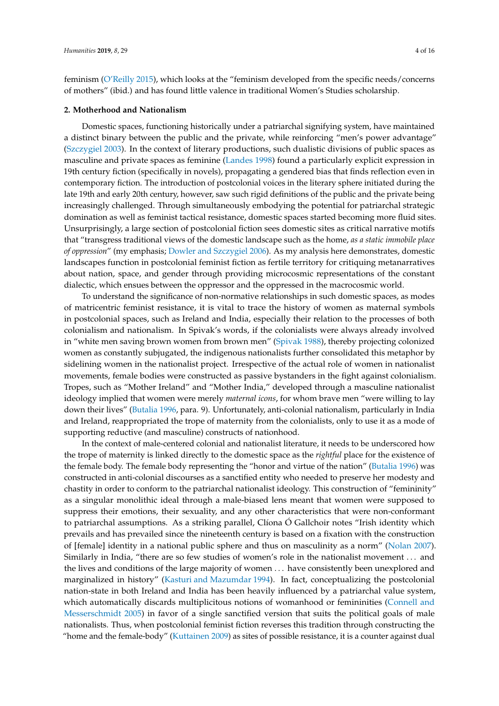feminism (O'Reilly 2015), which looks at the "feminism developed from the specific needs/concerns of mothers" (ibid.) and has found little valence in traditional Women's Studies scholarship.

#### **2. Motherhood and Nationalism**

Domestic spaces, functioning historically under a patriarchal signifying system, have maintained a distinct binary between the public and the private, while reinforcing "men's power advantage" (Szczygiel 2003). In the context of literary productions, such dualistic divisions of public spaces as masculine and private spaces as feminine (Landes 1998) found a particularly explicit expression in 19th century fiction (specifically in novels), propagating a gendered bias that finds reflection even in contemporary fiction. The introduction of postcolonial voices in the literary sphere initiated during the late 19th and early 20th century, however, saw such rigid definitions of the public and the private being increasingly challenged. Through simultaneously embodying the potential for patriarchal strategic domination as well as feminist tactical resistance, domestic spaces started becoming more fluid sites. Unsurprisingly, a large section of postcolonial fiction sees domestic sites as critical narrative motifs that "transgress traditional views of the domestic landscape such as the home, *as a static immobile place of oppression*" (my emphasis; Dowler and Szczygiel 2006). As my analysis here demonstrates, domestic landscapes function in postcolonial feminist fiction as fertile territory for critiquing metanarratives about nation, space, and gender through providing microcosmic representations of the constant dialectic, which ensues between the oppressor and the oppressed in the macrocosmic world.

To understand the significance of non-normative relationships in such domestic spaces, as modes of matricentric feminist resistance, it is vital to trace the history of women as maternal symbols in postcolonial spaces, such as Ireland and India, especially their relation to the processes of both colonialism and nationalism. In Spivak's words, if the colonialists were always already involved in "white men saving brown women from brown men" (Spivak 1988), thereby projecting colonized women as constantly subjugated, the indigenous nationalists further consolidated this metaphor by sidelining women in the nationalist project. Irrespective of the actual role of women in nationalist movements, female bodies were constructed as passive bystanders in the fight against colonialism. Tropes, such as "Mother Ireland" and "Mother India," developed through a masculine nationalist ideology implied that women were merely *maternal icons*, for whom brave men "were willing to lay down their lives" (Butalia 1996, para. 9). Unfortunately, anti-colonial nationalism, particularly in India and Ireland, reappropriated the trope of maternity from the colonialists, only to use it as a mode of supporting reductive (and masculine) constructs of nationhood.

In the context of male-centered colonial and nationalist literature, it needs to be underscored how the trope of maternity is linked directly to the domestic space as the *rightful* place for the existence of the female body. The female body representing the "honor and virtue of the nation" (Butalia 1996) was constructed in anti-colonial discourses as a sanctified entity who needed to preserve her modesty and chastity in order to conform to the patriarchal nationalist ideology. This construction of "femininity" as a singular monolithic ideal through a male-biased lens meant that women were supposed to suppress their emotions, their sexuality, and any other characteristics that were non-conformant to patriarchal assumptions. As a striking parallel, Clíona Ó Gallchoir notes "Irish identity which prevails and has prevailed since the nineteenth century is based on a fixation with the construction of [female] identity in a national public sphere and thus on masculinity as a norm" (Nolan 2007). Similarly in India, "there are so few studies of women's role in the nationalist movement . . . and the lives and conditions of the large majority of women . . . have consistently been unexplored and marginalized in history" (Kasturi and Mazumdar 1994). In fact, conceptualizing the postcolonial nation-state in both Ireland and India has been heavily influenced by a patriarchal value system, which automatically discards multiplicitous notions of womanhood or femininities (Connell and Messerschmidt 2005) in favor of a single sanctified version that suits the political goals of male nationalists. Thus, when postcolonial feminist fiction reverses this tradition through constructing the "home and the female-body" (Kuttainen 2009) as sites of possible resistance, it is a counter against dual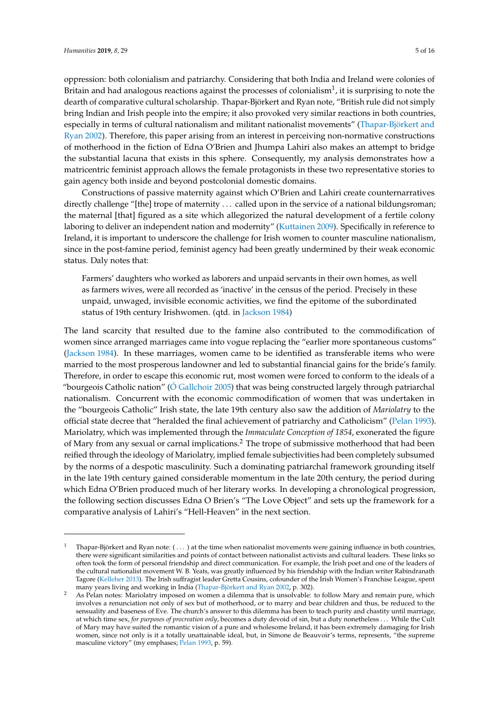oppression: both colonialism and patriarchy. Considering that both India and Ireland were colonies of Britain and had analogous reactions against the processes of colonialism $^1$ , it is surprising to note the dearth of comparative cultural scholarship. Thapar-Björkert and Ryan note, "British rule did not simply bring Indian and Irish people into the empire; it also provoked very similar reactions in both countries, especially in terms of cultural nationalism and militant nationalist movements" (Thapar-Björkert and Ryan 2002). Therefore, this paper arising from an interest in perceiving non-normative constructions of motherhood in the fiction of Edna O'Brien and Jhumpa Lahiri also makes an attempt to bridge the substantial lacuna that exists in this sphere. Consequently, my analysis demonstrates how a matricentric feminist approach allows the female protagonists in these two representative stories to gain agency both inside and beyond postcolonial domestic domains.

Constructions of passive maternity against which O'Brien and Lahiri create counternarratives directly challenge "[the] trope of maternity . . . called upon in the service of a national bildungsroman; the maternal [that] figured as a site which allegorized the natural development of a fertile colony laboring to deliver an independent nation and modernity" (Kuttainen 2009). Specifically in reference to Ireland, it is important to underscore the challenge for Irish women to counter masculine nationalism, since in the post-famine period, feminist agency had been greatly undermined by their weak economic status. Daly notes that:

Farmers' daughters who worked as laborers and unpaid servants in their own homes, as well as farmers wives, were all recorded as 'inactive' in the census of the period. Precisely in these unpaid, unwaged, invisible economic activities, we find the epitome of the subordinated status of 19th century Irishwomen. (qtd. in Jackson 1984)

The land scarcity that resulted due to the famine also contributed to the commodification of women since arranged marriages came into vogue replacing the "earlier more spontaneous customs" (Jackson 1984). In these marriages, women came to be identified as transferable items who were married to the most prosperous landowner and led to substantial financial gains for the bride's family. Therefore, in order to escape this economic rut, most women were forced to conform to the ideals of a "bourgeois Catholic nation" ( $\acute{o}$  Gallchoir 2005) that was being constructed largely through patriarchal nationalism. Concurrent with the economic commodification of women that was undertaken in the "bourgeois Catholic" Irish state, the late 19th century also saw the addition of *Mariolatry* to the official state decree that "heralded the final achievement of patriarchy and Catholicism" (Pelan 1993). Mariolatry, which was implemented through the *Immaculate Conception of 1854*, exonerated the figure of Mary from any sexual or carnal implications.<sup>2</sup> The trope of submissive motherhood that had been reified through the ideology of Mariolatry, implied female subjectivities had been completely subsumed by the norms of a despotic masculinity. Such a dominating patriarchal framework grounding itself in the late 19th century gained considerable momentum in the late 20th century, the period during which Edna O'Brien produced much of her literary works. In developing a chronological progression, the following section discusses Edna O Brien's "The Love Object" and sets up the framework for a comparative analysis of Lahiri's "Hell-Heaven" in the next section.

<sup>&</sup>lt;sup>1</sup> Thapar-Björkert and Ryan note:  $(\dots)$  at the time when nationalist movements were gaining influence in both countries, there were significant similarities and points of contact between nationalist activists and cultural leaders. These links so often took the form of personal friendship and direct communication. For example, the Irish poet and one of the leaders of the cultural nationalist movement W. B. Yeats, was greatly influenced by his friendship with the Indian writer Rabindranath Tagore (Kelleher 2013). The Irish suffragist leader Gretta Cousins, cofounder of the Irish Women's Franchise League, spent many years living and working in India (Thapar-Björkert and Ryan 2002, p. 302).

<sup>2</sup> As Pelan notes: Mariolatry imposed on women a dilemma that is unsolvable: to follow Mary and remain pure, which involves a renunciation not only of sex but of motherhood, or to marry and bear children and thus, be reduced to the sensuality and baseness of Eve. The church's answer to this dilemma has been to teach purity and chastity until marriage, at which time sex, *for purposes of procreation only*, becomes a duty devoid of sin, but a duty nonetheless . . . While the Cult of Mary may have suited the romantic vision of a pure and wholesome Ireland, it has been extremely damaging for Irish women, since not only is it a totally unattainable ideal, but, in Simone de Beauvoir's terms, represents, "the supreme masculine victory" (my emphases; Pelan 1993, p. 59).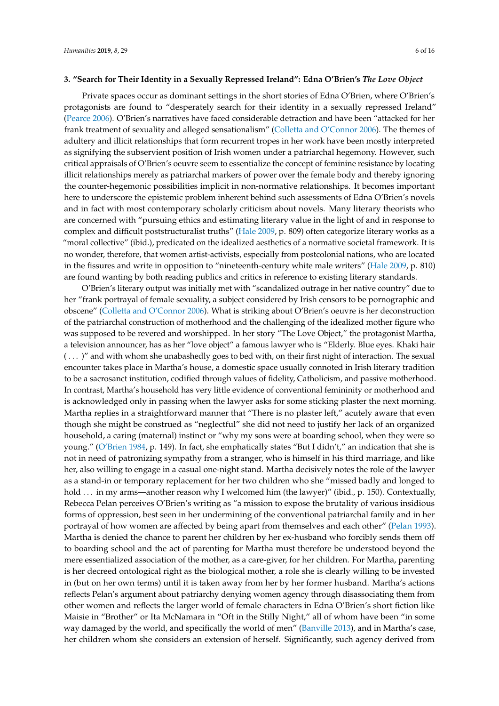#### **3. "Search for Their Identity in a Sexually Repressed Ireland": Edna O'Brien's** *The Love Object*

Private spaces occur as dominant settings in the short stories of Edna O'Brien, where O'Brien's protagonists are found to "desperately search for their identity in a sexually repressed Ireland" (Pearce 2006). O'Brien's narratives have faced considerable detraction and have been "attacked for her frank treatment of sexuality and alleged sensationalism" (Colletta and O'Connor 2006). The themes of adultery and illicit relationships that form recurrent tropes in her work have been mostly interpreted as signifying the subservient position of Irish women under a patriarchal hegemony. However, such critical appraisals of O'Brien's oeuvre seem to essentialize the concept of feminine resistance by locating illicit relationships merely as patriarchal markers of power over the female body and thereby ignoring the counter-hegemonic possibilities implicit in non-normative relationships. It becomes important here to underscore the epistemic problem inherent behind such assessments of Edna O'Brien's novels and in fact with most contemporary scholarly criticism about novels. Many literary theorists who are concerned with "pursuing ethics and estimating literary value in the light of and in response to complex and difficult poststructuralist truths" (Hale 2009, p. 809) often categorize literary works as a "moral collective" (ibid.), predicated on the idealized aesthetics of a normative societal framework. It is no wonder, therefore, that women artist-activists, especially from postcolonial nations, who are located in the fissures and write in opposition to "nineteenth-century white male writers" (Hale 2009, p. 810) are found wanting by both reading publics and critics in reference to existing literary standards.

O'Brien's literary output was initially met with "scandalized outrage in her native country" due to her "frank portrayal of female sexuality, a subject considered by Irish censors to be pornographic and obscene" (Colletta and O'Connor 2006). What is striking about O'Brien's oeuvre is her deconstruction of the patriarchal construction of motherhood and the challenging of the idealized mother figure who was supposed to be revered and worshipped. In her story "The Love Object," the protagonist Martha, a television announcer, has as her "love object" a famous lawyer who is "Elderly. Blue eyes. Khaki hair ( . . . )" and with whom she unabashedly goes to bed with, on their first night of interaction. The sexual encounter takes place in Martha's house, a domestic space usually connoted in Irish literary tradition to be a sacrosanct institution, codified through values of fidelity, Catholicism, and passive motherhood. In contrast, Martha's household has very little evidence of conventional femininity or motherhood and is acknowledged only in passing when the lawyer asks for some sticking plaster the next morning. Martha replies in a straightforward manner that "There is no plaster left," acutely aware that even though she might be construed as "neglectful" she did not need to justify her lack of an organized household, a caring (maternal) instinct or "why my sons were at boarding school, when they were so young." (O'Brien 1984, p. 149). In fact, she emphatically states "But I didn't," an indication that she is not in need of patronizing sympathy from a stranger, who is himself in his third marriage, and like her, also willing to engage in a casual one-night stand. Martha decisively notes the role of the lawyer as a stand-in or temporary replacement for her two children who she "missed badly and longed to hold ... in my arms—another reason why I welcomed him (the lawyer)" (ibid., p. 150). Contextually, Rebecca Pelan perceives O'Brien's writing as "a mission to expose the brutality of various insidious forms of oppression, best seen in her undermining of the conventional patriarchal family and in her portrayal of how women are affected by being apart from themselves and each other" (Pelan 1993). Martha is denied the chance to parent her children by her ex-husband who forcibly sends them off to boarding school and the act of parenting for Martha must therefore be understood beyond the mere essentialized association of the mother, as a care-giver, for her children. For Martha, parenting is her decreed ontological right as the biological mother, a role she is clearly willing to be invested in (but on her own terms) until it is taken away from her by her former husband. Martha's actions reflects Pelan's argument about patriarchy denying women agency through disassociating them from other women and reflects the larger world of female characters in Edna O'Brien's short fiction like Maisie in "Brother" or Ita McNamara in "Oft in the Stilly Night," all of whom have been "in some way damaged by the world, and specifically the world of men" (Banville 2013), and in Martha's case, her children whom she considers an extension of herself. Significantly, such agency derived from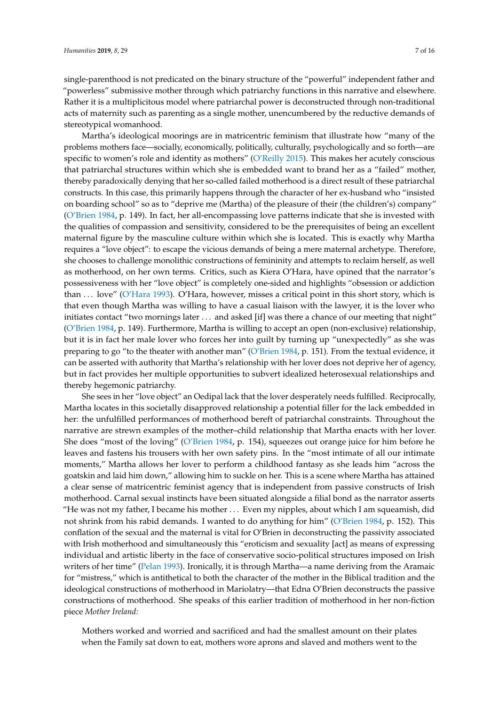single-parenthood is not predicated on the binary structure of the "powerful" independent father and "powerless" submissive mother through which patriarchy functions in this narrative and elsewhere. Rather it is a multiplicitous model where patriarchal power is deconstructed through non-traditional acts of maternity such as parenting as a single mother, unencumbered by the reductive demands of stereotypical womanhood.

Martha's ideological moorings are in matricentric feminism that illustrate how "many of the problems mothers face—socially, economically, politically, culturally, psychologically and so forth—are specific to women's role and identity as mothers" (O'Reilly 2015). This makes her acutely conscious that patriarchal structures within which she is embedded want to brand her as a "failed" mother, thereby paradoxically denying that her so-called failed motherhood is a direct result of these patriarchal constructs. In this case, this primarily happens through the character of her ex-husband who "insisted on boarding school" so as to "deprive me (Martha) of the pleasure of their (the children's) company" (O'Brien 1984, p. 149). In fact, her all-encompassing love patterns indicate that she is invested with the qualities of compassion and sensitivity, considered to be the prerequisites of being an excellent maternal figure by the masculine culture within which she is located. This is exactly why Martha requires a "love object": to escape the vicious demands of being a mere maternal archetype. Therefore, she chooses to challenge monolithic constructions of femininity and attempts to reclaim herself, as well as motherhood, on her own terms. Critics, such as Kiera O'Hara, have opined that the narrator's possessiveness with her "love object" is completely one-sided and highlights "obsession or addiction than . . . love" (O'Hara 1993). O'Hara, however, misses a critical point in this short story, which is that even though Martha was willing to have a casual liaison with the lawyer, it is the lover who initiates contact "two mornings later . . . and asked [if] was there a chance of our meeting that night" (O'Brien 1984, p. 149). Furthermore, Martha is willing to accept an open (non-exclusive) relationship, but it is in fact her male lover who forces her into guilt by turning up "unexpectedly" as she was preparing to go "to the theater with another man" (O'Brien 1984, p. 151). From the textual evidence, it can be asserted with authority that Martha's relationship with her lover does not deprive her of agency, but in fact provides her multiple opportunities to subvert idealized heterosexual relationships and thereby hegemonic patriarchy.

She sees in her "love object" an Oedipal lack that the lover desperately needs fulfilled. Reciprocally, Martha locates in this societally disapproved relationship a potential filler for the lack embedded in her: the unfulfilled performances of motherhood bereft of patriarchal constraints. Throughout the narrative are strewn examples of the mother–child relationship that Martha enacts with her lover. She does "most of the loving" (O'Brien 1984, p. 154), squeezes out orange juice for him before he leaves and fastens his trousers with her own safety pins. In the "most intimate of all our intimate moments," Martha allows her lover to perform a childhood fantasy as she leads him "across the goatskin and laid him down," allowing him to suckle on her. This is a scene where Martha has attained a clear sense of matricentric feminist agency that is independent from passive constructs of Irish motherhood. Carnal sexual instincts have been situated alongside a filial bond as the narrator asserts "He was not my father, I became his mother . . . Even my nipples, about which I am squeamish, did not shrink from his rabid demands. I wanted to do anything for him" (O'Brien 1984, p. 152). This conflation of the sexual and the maternal is vital for O'Brien in deconstructing the passivity associated with Irish motherhood and simultaneously this "eroticism and sexuality [act] as means of expressing individual and artistic liberty in the face of conservative socio-political structures imposed on Irish writers of her time" (Pelan 1993). Ironically, it is through Martha—a name deriving from the Aramaic for "mistress," which is antithetical to both the character of the mother in the Biblical tradition and the ideological constructions of motherhood in Mariolatry—that Edna O'Brien deconstructs the passive constructions of motherhood. She speaks of this earlier tradition of motherhood in her non-fiction piece *Mother Ireland:*

Mothers worked and worried and sacrificed and had the smallest amount on their plates when the Family sat down to eat, mothers wore aprons and slaved and mothers went to the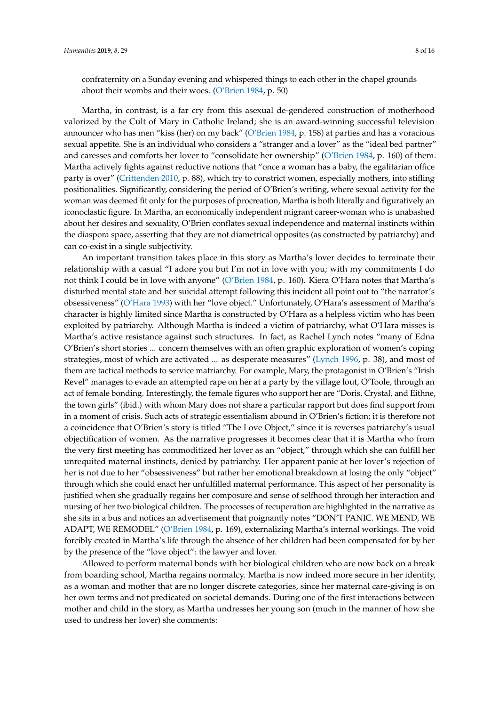confraternity on a Sunday evening and whispered things to each other in the chapel grounds about their wombs and their woes. (O'Brien 1984, p. 50)

Martha, in contrast, is a far cry from this asexual de-gendered construction of motherhood valorized by the Cult of Mary in Catholic Ireland; she is an award-winning successful television announcer who has men "kiss (her) on my back" (O'Brien 1984, p. 158) at parties and has a voracious sexual appetite. She is an individual who considers a "stranger and a lover" as the "ideal bed partner" and caresses and comforts her lover to "consolidate her ownership" (O'Brien 1984, p. 160) of them. Martha actively fights against reductive notions that "once a woman has a baby, the egalitarian office party is over" (Crittenden 2010, p. 88), which try to constrict women, especially mothers, into stifling positionalities. Significantly, considering the period of O'Brien's writing, where sexual activity for the woman was deemed fit only for the purposes of procreation, Martha is both literally and figuratively an iconoclastic figure. In Martha, an economically independent migrant career-woman who is unabashed about her desires and sexuality, O'Brien conflates sexual independence and maternal instincts within the diaspora space, asserting that they are not diametrical opposites (as constructed by patriarchy) and can co-exist in a single subjectivity.

An important transition takes place in this story as Martha's lover decides to terminate their relationship with a casual "I adore you but I'm not in love with you; with my commitments I do not think I could be in love with anyone" (O'Brien 1984, p. 160). Kiera O'Hara notes that Martha's disturbed mental state and her suicidal attempt following this incident all point out to "the narrator's obsessiveness" (O'Hara 1993) with her "love object." Unfortunately, O'Hara's assessment of Martha's character is highly limited since Martha is constructed by O'Hara as a helpless victim who has been exploited by patriarchy. Although Martha is indeed a victim of patriarchy, what O'Hara misses is Martha's active resistance against such structures. In fact, as Rachel Lynch notes "many of Edna O'Brien's short stories ... concern themselves with an often graphic exploration of women's coping strategies, most of which are activated ... as desperate measures" (Lynch 1996, p. 38), and most of them are tactical methods to service matriarchy. For example, Mary, the protagonist in O'Brien's "Irish Revel" manages to evade an attempted rape on her at a party by the village lout, O'Toole, through an act of female bonding. Interestingly, the female figures who support her are "Doris, Crystal, and Eithne, the town girls" (ibid.) with whom Mary does not share a particular rapport but does find support from in a moment of crisis. Such acts of strategic essentialism abound in O'Brien's fiction; it is therefore not a coincidence that O'Brien's story is titled "The Love Object," since it is reverses patriarchy's usual objectification of women. As the narrative progresses it becomes clear that it is Martha who from the very first meeting has commoditized her lover as an "object," through which she can fulfill her unrequited maternal instincts, denied by patriarchy. Her apparent panic at her lover's rejection of her is not due to her "obsessiveness" but rather her emotional breakdown at losing the only "object" through which she could enact her unfulfilled maternal performance. This aspect of her personality is justified when she gradually regains her composure and sense of selfhood through her interaction and nursing of her two biological children. The processes of recuperation are highlighted in the narrative as she sits in a bus and notices an advertisement that poignantly notes "DON'T PANIC. WE MEND, WE ADAPT, WE REMODEL" (O'Brien 1984, p. 169), externalizing Martha's internal workings. The void forcibly created in Martha's life through the absence of her children had been compensated for by her by the presence of the "love object": the lawyer and lover.

Allowed to perform maternal bonds with her biological children who are now back on a break from boarding school, Martha regains normalcy. Martha is now indeed more secure in her identity, as a woman and mother that are no longer discrete categories, since her maternal care-giving is on her own terms and not predicated on societal demands. During one of the first interactions between mother and child in the story, as Martha undresses her young son (much in the manner of how she used to undress her lover) she comments: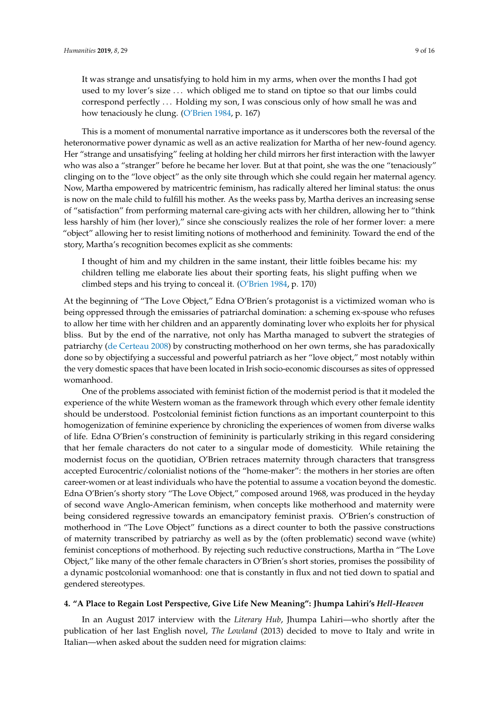It was strange and unsatisfying to hold him in my arms, when over the months I had got used to my lover's size . . . which obliged me to stand on tiptoe so that our limbs could correspond perfectly . . . Holding my son, I was conscious only of how small he was and how tenaciously he clung. (O'Brien 1984, p. 167)

This is a moment of monumental narrative importance as it underscores both the reversal of the heteronormative power dynamic as well as an active realization for Martha of her new-found agency. Her "strange and unsatisfying" feeling at holding her child mirrors her first interaction with the lawyer who was also a "stranger" before he became her lover. But at that point, she was the one "tenaciously" clinging on to the "love object" as the only site through which she could regain her maternal agency. Now, Martha empowered by matricentric feminism, has radically altered her liminal status: the onus is now on the male child to fulfill his mother. As the weeks pass by, Martha derives an increasing sense of "satisfaction" from performing maternal care-giving acts with her children, allowing her to "think less harshly of him (her lover)," since she consciously realizes the role of her former lover: a mere "object" allowing her to resist limiting notions of motherhood and femininity. Toward the end of the story, Martha's recognition becomes explicit as she comments:

I thought of him and my children in the same instant, their little foibles became his: my children telling me elaborate lies about their sporting feats, his slight puffing when we climbed steps and his trying to conceal it. (O'Brien 1984, p. 170)

At the beginning of "The Love Object," Edna O'Brien's protagonist is a victimized woman who is being oppressed through the emissaries of patriarchal domination: a scheming ex-spouse who refuses to allow her time with her children and an apparently dominating lover who exploits her for physical bliss. But by the end of the narrative, not only has Martha managed to subvert the strategies of patriarchy (de Certeau 2008) by constructing motherhood on her own terms, she has paradoxically done so by objectifying a successful and powerful patriarch as her "love object," most notably within the very domestic spaces that have been located in Irish socio-economic discourses as sites of oppressed womanhood.

One of the problems associated with feminist fiction of the modernist period is that it modeled the experience of the white Western woman as the framework through which every other female identity should be understood. Postcolonial feminist fiction functions as an important counterpoint to this homogenization of feminine experience by chronicling the experiences of women from diverse walks of life. Edna O'Brien's construction of femininity is particularly striking in this regard considering that her female characters do not cater to a singular mode of domesticity. While retaining the modernist focus on the quotidian, O'Brien retraces maternity through characters that transgress accepted Eurocentric/colonialist notions of the "home-maker": the mothers in her stories are often career-women or at least individuals who have the potential to assume a vocation beyond the domestic. Edna O'Brien's shorty story "The Love Object," composed around 1968, was produced in the heyday of second wave Anglo-American feminism, when concepts like motherhood and maternity were being considered regressive towards an emancipatory feminist praxis. O'Brien's construction of motherhood in "The Love Object" functions as a direct counter to both the passive constructions of maternity transcribed by patriarchy as well as by the (often problematic) second wave (white) feminist conceptions of motherhood. By rejecting such reductive constructions, Martha in "The Love Object," like many of the other female characters in O'Brien's short stories, promises the possibility of a dynamic postcolonial womanhood: one that is constantly in flux and not tied down to spatial and gendered stereotypes.

## **4. "A Place to Regain Lost Perspective, Give Life New Meaning": Jhumpa Lahiri's** *Hell-Heaven*

In an August 2017 interview with the *Literary Hub*, Jhumpa Lahiri—who shortly after the publication of her last English novel, *The Lowland* (2013) decided to move to Italy and write in Italian—when asked about the sudden need for migration claims: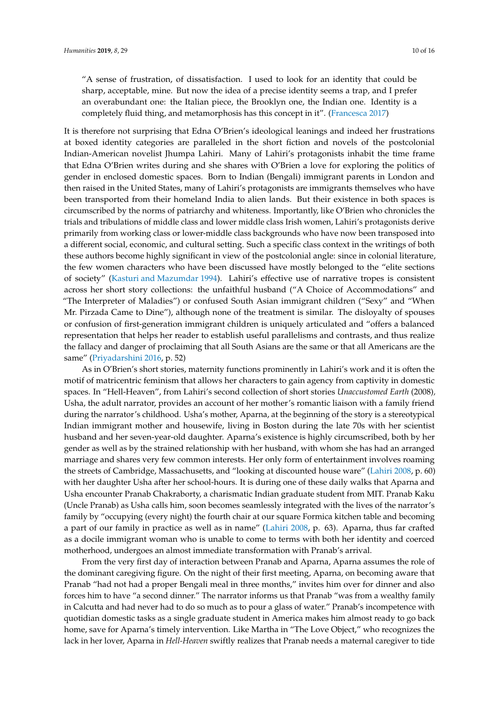"A sense of frustration, of dissatisfaction. I used to look for an identity that could be sharp, acceptable, mine. But now the idea of a precise identity seems a trap, and I prefer an overabundant one: the Italian piece, the Brooklyn one, the Indian one. Identity is a completely fluid thing, and metamorphosis has this concept in it". (Francesca 2017)

It is therefore not surprising that Edna O'Brien's ideological leanings and indeed her frustrations at boxed identity categories are paralleled in the short fiction and novels of the postcolonial Indian-American novelist Jhumpa Lahiri. Many of Lahiri's protagonists inhabit the time frame that Edna O'Brien writes during and she shares with O'Brien a love for exploring the politics of gender in enclosed domestic spaces. Born to Indian (Bengali) immigrant parents in London and then raised in the United States, many of Lahiri's protagonists are immigrants themselves who have been transported from their homeland India to alien lands. But their existence in both spaces is circumscribed by the norms of patriarchy and whiteness. Importantly, like O'Brien who chronicles the trials and tribulations of middle class and lower middle class Irish women, Lahiri's protagonists derive primarily from working class or lower-middle class backgrounds who have now been transposed into a different social, economic, and cultural setting. Such a specific class context in the writings of both these authors become highly significant in view of the postcolonial angle: since in colonial literature, the few women characters who have been discussed have mostly belonged to the "elite sections of society" (Kasturi and Mazumdar 1994). Lahiri's effective use of narrative tropes is consistent across her short story collections: the unfaithful husband ("A Choice of Accommodations" and "The Interpreter of Maladies") or confused South Asian immigrant children ("Sexy" and "When Mr. Pirzada Came to Dine"), although none of the treatment is similar. The disloyalty of spouses or confusion of first-generation immigrant children is uniquely articulated and "offers a balanced representation that helps her reader to establish useful parallelisms and contrasts, and thus realize the fallacy and danger of proclaiming that all South Asians are the same or that all Americans are the same" (Priyadarshini 2016, p. 52)

As in O'Brien's short stories, maternity functions prominently in Lahiri's work and it is often the motif of matricentric feminism that allows her characters to gain agency from captivity in domestic spaces. In "Hell-Heaven", from Lahiri's second collection of short stories *Unaccustomed Earth* (2008)*,* Usha, the adult narrator, provides an account of her mother's romantic liaison with a family friend during the narrator's childhood. Usha's mother, Aparna, at the beginning of the story is a stereotypical Indian immigrant mother and housewife, living in Boston during the late 70s with her scientist husband and her seven-year-old daughter. Aparna's existence is highly circumscribed, both by her gender as well as by the strained relationship with her husband, with whom she has had an arranged marriage and shares very few common interests. Her only form of entertainment involves roaming the streets of Cambridge, Massachusetts, and "looking at discounted house ware" (Lahiri 2008, p. 60) with her daughter Usha after her school-hours. It is during one of these daily walks that Aparna and Usha encounter Pranab Chakraborty, a charismatic Indian graduate student from MIT. Pranab Kaku (Uncle Pranab) as Usha calls him, soon becomes seamlessly integrated with the lives of the narrator's family by "occupying (every night) the fourth chair at our square Formica kitchen table and becoming a part of our family in practice as well as in name" (Lahiri 2008, p. 63). Aparna, thus far crafted as a docile immigrant woman who is unable to come to terms with both her identity and coerced motherhood, undergoes an almost immediate transformation with Pranab's arrival.

From the very first day of interaction between Pranab and Aparna, Aparna assumes the role of the dominant caregiving figure. On the night of their first meeting, Aparna, on becoming aware that Pranab "had not had a proper Bengali meal in three months," invites him over for dinner and also forces him to have "a second dinner." The narrator informs us that Pranab "was from a wealthy family in Calcutta and had never had to do so much as to pour a glass of water." Pranab's incompetence with quotidian domestic tasks as a single graduate student in America makes him almost ready to go back home, save for Aparna's timely intervention. Like Martha in "The Love Object," who recognizes the lack in her lover, Aparna in *Hell-Heaven* swiftly realizes that Pranab needs a maternal caregiver to tide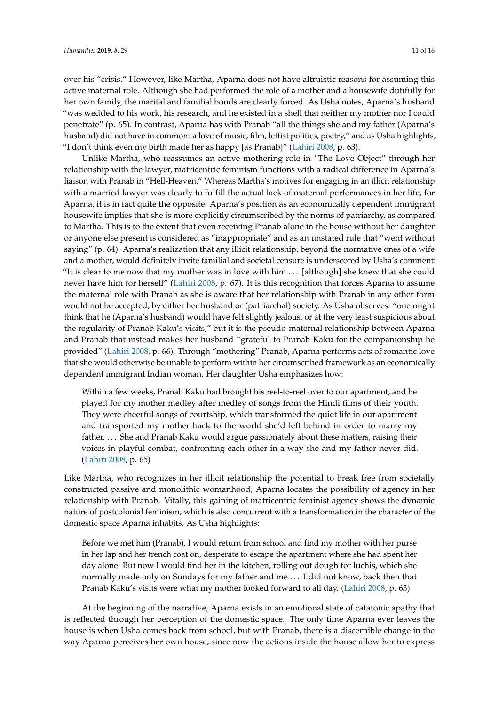over his "crisis." However, like Martha, Aparna does not have altruistic reasons for assuming this active maternal role. Although she had performed the role of a mother and a housewife dutifully for her own family, the marital and familial bonds are clearly forced. As Usha notes, Aparna's husband "was wedded to his work, his research, and he existed in a shell that neither my mother nor I could penetrate" (p. 65). In contrast, Aparna has with Pranab "all the things she and my father (Aparna's husband) did not have in common: a love of music, film, leftist politics, poetry," and as Usha highlights, "I don't think even my birth made her as happy [as Pranab]" (Lahiri 2008, p. 63).

Unlike Martha, who reassumes an active mothering role in "The Love Object" through her relationship with the lawyer, matricentric feminism functions with a radical difference in Aparna's liaison with Pranab in "Hell-Heaven." Whereas Martha's motives for engaging in an illicit relationship with a married lawyer was clearly to fulfill the actual lack of maternal performances in her life, for Aparna, it is in fact quite the opposite. Aparna's position as an economically dependent immigrant housewife implies that she is more explicitly circumscribed by the norms of patriarchy, as compared to Martha. This is to the extent that even receiving Pranab alone in the house without her daughter or anyone else present is considered as "inappropriate" and as an unstated rule that "went without saying" (p. 64). Aparna's realization that any illicit relationship, beyond the normative ones of a wife and a mother, would definitely invite familial and societal censure is underscored by Usha's comment: "It is clear to me now that my mother was in love with him . . . [although] she knew that she could never have him for herself" (Lahiri 2008, p. 67). It is this recognition that forces Aparna to assume the maternal role with Pranab as she is aware that her relationship with Pranab in any other form would not be accepted, by either her husband or (patriarchal) society. As Usha observes: "one might think that he (Aparna's husband) would have felt slightly jealous, or at the very least suspicious about the regularity of Pranab Kaku's visits," but it is the pseudo-maternal relationship between Aparna and Pranab that instead makes her husband "grateful to Pranab Kaku for the companionship he provided" (Lahiri 2008, p. 66). Through "mothering" Pranab, Aparna performs acts of romantic love that she would otherwise be unable to perform within her circumscribed framework as an economically dependent immigrant Indian woman. Her daughter Usha emphasizes how:

Within a few weeks, Pranab Kaku had brought his reel-to-reel over to our apartment, and he played for my mother medley after medley of songs from the Hindi films of their youth. They were cheerful songs of courtship, which transformed the quiet life in our apartment and transported my mother back to the world she'd left behind in order to marry my father. . . . She and Pranab Kaku would argue passionately about these matters, raising their voices in playful combat, confronting each other in a way she and my father never did. (Lahiri 2008, p. 65)

Like Martha, who recognizes in her illicit relationship the potential to break free from societally constructed passive and monolithic womanhood, Aparna locates the possibility of agency in her relationship with Pranab. Vitally, this gaining of matricentric feminist agency shows the dynamic nature of postcolonial feminism, which is also concurrent with a transformation in the character of the domestic space Aparna inhabits. As Usha highlights:

Before we met him (Pranab), I would return from school and find my mother with her purse in her lap and her trench coat on, desperate to escape the apartment where she had spent her day alone. But now I would find her in the kitchen, rolling out dough for luchis, which she normally made only on Sundays for my father and me . . . I did not know, back then that Pranab Kaku's visits were what my mother looked forward to all day. (Lahiri 2008, p. 63)

At the beginning of the narrative, Aparna exists in an emotional state of catatonic apathy that is reflected through her perception of the domestic space. The only time Aparna ever leaves the house is when Usha comes back from school, but with Pranab, there is a discernible change in the way Aparna perceives her own house, since now the actions inside the house allow her to express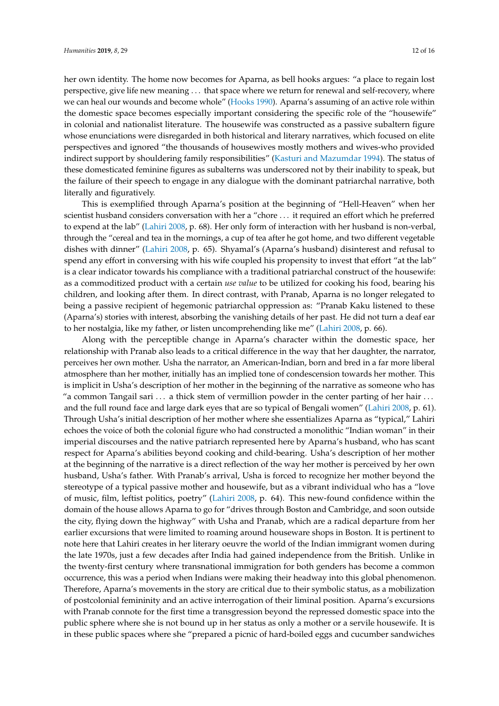her own identity. The home now becomes for Aparna, as bell hooks argues: "a place to regain lost perspective, give life new meaning . . . that space where we return for renewal and self-recovery, where we can heal our wounds and become whole" (Hooks 1990). Aparna's assuming of an active role within the domestic space becomes especially important considering the specific role of the "housewife" in colonial and nationalist literature. The housewife was constructed as a passive subaltern figure whose enunciations were disregarded in both historical and literary narratives, which focused on elite perspectives and ignored "the thousands of housewives mostly mothers and wives-who provided indirect support by shouldering family responsibilities" (Kasturi and Mazumdar 1994). The status of these domesticated feminine figures as subalterns was underscored not by their inability to speak, but the failure of their speech to engage in any dialogue with the dominant patriarchal narrative, both literally and figuratively.

This is exemplified through Aparna's position at the beginning of "Hell-Heaven" when her scientist husband considers conversation with her a "chore . . . it required an effort which he preferred to expend at the lab" (Lahiri 2008, p. 68). Her only form of interaction with her husband is non-verbal, through the "cereal and tea in the mornings, a cup of tea after he got home, and two different vegetable dishes with dinner" (Lahiri 2008, p. 65). Shyamal's (Aparna's husband) disinterest and refusal to spend any effort in conversing with his wife coupled his propensity to invest that effort "at the lab" is a clear indicator towards his compliance with a traditional patriarchal construct of the housewife: as a commoditized product with a certain *use value* to be utilized for cooking his food, bearing his children, and looking after them. In direct contrast, with Pranab, Aparna is no longer relegated to being a passive recipient of hegemonic patriarchal oppression as: "Pranab Kaku listened to these (Aparna's) stories with interest, absorbing the vanishing details of her past. He did not turn a deaf ear to her nostalgia, like my father, or listen uncomprehending like me" (Lahiri 2008, p. 66).

Along with the perceptible change in Aparna's character within the domestic space, her relationship with Pranab also leads to a critical difference in the way that her daughter, the narrator, perceives her own mother. Usha the narrator, an American-Indian, born and bred in a far more liberal atmosphere than her mother, initially has an implied tone of condescension towards her mother. This is implicit in Usha's description of her mother in the beginning of the narrative as someone who has "a common Tangail sari  $\ldots$  a thick stem of vermillion powder in the center parting of her hair  $\ldots$ and the full round face and large dark eyes that are so typical of Bengali women" (Lahiri 2008, p. 61). Through Usha's initial description of her mother where she essentializes Aparna as "typical," Lahiri echoes the voice of both the colonial figure who had constructed a monolithic "Indian woman" in their imperial discourses and the native patriarch represented here by Aparna's husband, who has scant respect for Aparna's abilities beyond cooking and child-bearing. Usha's description of her mother at the beginning of the narrative is a direct reflection of the way her mother is perceived by her own husband, Usha's father. With Pranab's arrival, Usha is forced to recognize her mother beyond the stereotype of a typical passive mother and housewife, but as a vibrant individual who has a "love of music, film, leftist politics, poetry" (Lahiri 2008, p. 64). This new-found confidence within the domain of the house allows Aparna to go for "drives through Boston and Cambridge, and soon outside the city, flying down the highway" with Usha and Pranab, which are a radical departure from her earlier excursions that were limited to roaming around houseware shops in Boston. It is pertinent to note here that Lahiri creates in her literary oeuvre the world of the Indian immigrant women during the late 1970s, just a few decades after India had gained independence from the British. Unlike in the twenty-first century where transnational immigration for both genders has become a common occurrence, this was a period when Indians were making their headway into this global phenomenon. Therefore, Aparna's movements in the story are critical due to their symbolic status, as a mobilization of postcolonial femininity and an active interrogation of their liminal position. Aparna's excursions with Pranab connote for the first time a transgression beyond the repressed domestic space into the public sphere where she is not bound up in her status as only a mother or a servile housewife. It is in these public spaces where she "prepared a picnic of hard-boiled eggs and cucumber sandwiches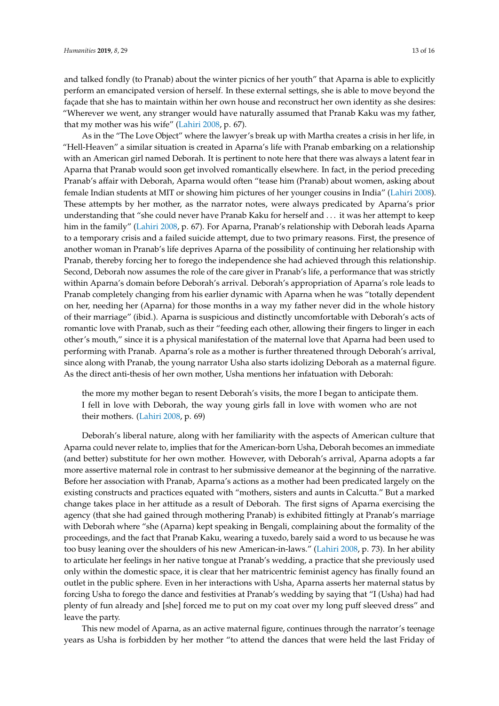and talked fondly (to Pranab) about the winter picnics of her youth" that Aparna is able to explicitly perform an emancipated version of herself. In these external settings, she is able to move beyond the façade that she has to maintain within her own house and reconstruct her own identity as she desires: "Wherever we went, any stranger would have naturally assumed that Pranab Kaku was my father, that my mother was his wife" (Lahiri 2008, p. 67).

As in the "The Love Object" where the lawyer's break up with Martha creates a crisis in her life, in "Hell-Heaven" a similar situation is created in Aparna's life with Pranab embarking on a relationship with an American girl named Deborah. It is pertinent to note here that there was always a latent fear in Aparna that Pranab would soon get involved romantically elsewhere. In fact, in the period preceding Pranab's affair with Deborah, Aparna would often "tease him (Pranab) about women, asking about female Indian students at MIT or showing him pictures of her younger cousins in India" (Lahiri 2008). These attempts by her mother, as the narrator notes, were always predicated by Aparna's prior understanding that "she could never have Pranab Kaku for herself and . . . it was her attempt to keep him in the family" (Lahiri 2008, p. 67). For Aparna, Pranab's relationship with Deborah leads Aparna to a temporary crisis and a failed suicide attempt, due to two primary reasons. First, the presence of another woman in Pranab's life deprives Aparna of the possibility of continuing her relationship with Pranab, thereby forcing her to forego the independence she had achieved through this relationship. Second, Deborah now assumes the role of the care giver in Pranab's life, a performance that was strictly within Aparna's domain before Deborah's arrival. Deborah's appropriation of Aparna's role leads to Pranab completely changing from his earlier dynamic with Aparna when he was "totally dependent on her, needing her (Aparna) for those months in a way my father never did in the whole history of their marriage" (ibid.). Aparna is suspicious and distinctly uncomfortable with Deborah's acts of romantic love with Pranab, such as their "feeding each other, allowing their fingers to linger in each other's mouth," since it is a physical manifestation of the maternal love that Aparna had been used to performing with Pranab. Aparna's role as a mother is further threatened through Deborah's arrival, since along with Pranab, the young narrator Usha also starts idolizing Deborah as a maternal figure. As the direct anti-thesis of her own mother, Usha mentions her infatuation with Deborah:

the more my mother began to resent Deborah's visits, the more I began to anticipate them. I fell in love with Deborah, the way young girls fall in love with women who are not their mothers. (Lahiri 2008, p. 69)

Deborah's liberal nature, along with her familiarity with the aspects of American culture that Aparna could never relate to, implies that for the American-born Usha, Deborah becomes an immediate (and better) substitute for her own mother. However, with Deborah's arrival, Aparna adopts a far more assertive maternal role in contrast to her submissive demeanor at the beginning of the narrative. Before her association with Pranab, Aparna's actions as a mother had been predicated largely on the existing constructs and practices equated with "mothers, sisters and aunts in Calcutta." But a marked change takes place in her attitude as a result of Deborah. The first signs of Aparna exercising the agency (that she had gained through mothering Pranab) is exhibited fittingly at Pranab's marriage with Deborah where "she (Aparna) kept speaking in Bengali, complaining about the formality of the proceedings, and the fact that Pranab Kaku, wearing a tuxedo, barely said a word to us because he was too busy leaning over the shoulders of his new American-in-laws." (Lahiri 2008, p. 73). In her ability to articulate her feelings in her native tongue at Pranab's wedding, a practice that she previously used only within the domestic space, it is clear that her matricentric feminist agency has finally found an outlet in the public sphere. Even in her interactions with Usha, Aparna asserts her maternal status by forcing Usha to forego the dance and festivities at Pranab's wedding by saying that "I (Usha) had had plenty of fun already and [she] forced me to put on my coat over my long puff sleeved dress" and leave the party.

This new model of Aparna, as an active maternal figure, continues through the narrator's teenage years as Usha is forbidden by her mother "to attend the dances that were held the last Friday of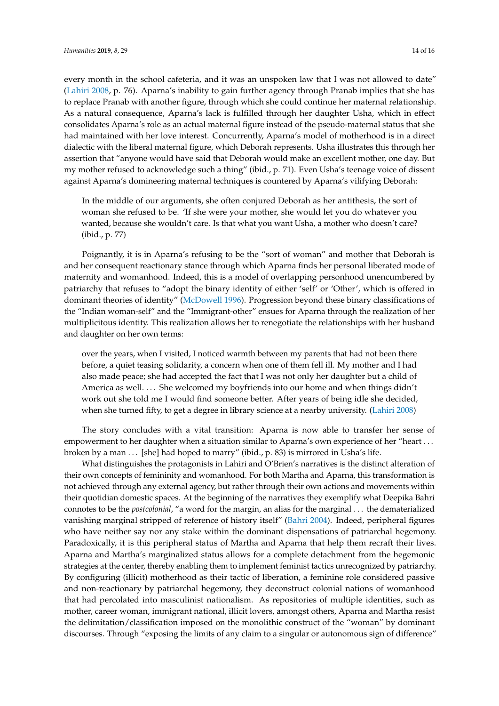every month in the school cafeteria, and it was an unspoken law that I was not allowed to date" (Lahiri 2008, p. 76). Aparna's inability to gain further agency through Pranab implies that she has to replace Pranab with another figure, through which she could continue her maternal relationship. As a natural consequence, Aparna's lack is fulfilled through her daughter Usha, which in effect consolidates Aparna's role as an actual maternal figure instead of the pseudo-maternal status that she had maintained with her love interest. Concurrently, Aparna's model of motherhood is in a direct dialectic with the liberal maternal figure, which Deborah represents. Usha illustrates this through her assertion that "anyone would have said that Deborah would make an excellent mother, one day. But my mother refused to acknowledge such a thing" (ibid., p. 71). Even Usha's teenage voice of dissent against Aparna's domineering maternal techniques is countered by Aparna's vilifying Deborah:

In the middle of our arguments, she often conjured Deborah as her antithesis, the sort of woman she refused to be. 'If she were your mother, she would let you do whatever you wanted, because she wouldn't care. Is that what you want Usha, a mother who doesn't care? (ibid., p. 77)

Poignantly, it is in Aparna's refusing to be the "sort of woman" and mother that Deborah is and her consequent reactionary stance through which Aparna finds her personal liberated mode of maternity and womanhood. Indeed, this is a model of overlapping personhood unencumbered by patriarchy that refuses to "adopt the binary identity of either 'self' or 'Other', which is offered in dominant theories of identity" (McDowell 1996). Progression beyond these binary classifications of the "Indian woman-self" and the "Immigrant-other" ensues for Aparna through the realization of her multiplicitous identity. This realization allows her to renegotiate the relationships with her husband and daughter on her own terms:

over the years, when I visited, I noticed warmth between my parents that had not been there before, a quiet teasing solidarity, a concern when one of them fell ill. My mother and I had also made peace; she had accepted the fact that I was not only her daughter but a child of America as well. . . . She welcomed my boyfriends into our home and when things didn't work out she told me I would find someone better. After years of being idle she decided, when she turned fifty, to get a degree in library science at a nearby university. (Lahiri 2008)

The story concludes with a vital transition: Aparna is now able to transfer her sense of empowerment to her daughter when a situation similar to Aparna's own experience of her "heart . . . broken by a man . . . [she] had hoped to marry" (ibid., p. 83) is mirrored in Usha's life.

What distinguishes the protagonists in Lahiri and O'Brien's narratives is the distinct alteration of their own concepts of femininity and womanhood. For both Martha and Aparna, this transformation is not achieved through any external agency, but rather through their own actions and movements within their quotidian domestic spaces. At the beginning of the narratives they exemplify what Deepika Bahri connotes to be the *postcolonial*, "a word for the margin, an alias for the marginal . . . the dematerialized vanishing marginal stripped of reference of history itself" (Bahri 2004). Indeed, peripheral figures who have neither say nor any stake within the dominant dispensations of patriarchal hegemony. Paradoxically, it is this peripheral status of Martha and Aparna that help them recraft their lives. Aparna and Martha's marginalized status allows for a complete detachment from the hegemonic strategies at the center, thereby enabling them to implement feminist tactics unrecognized by patriarchy. By configuring (illicit) motherhood as their tactic of liberation, a feminine role considered passive and non-reactionary by patriarchal hegemony, they deconstruct colonial nations of womanhood that had percolated into masculinist nationalism. As repositories of multiple identities, such as mother, career woman, immigrant national, illicit lovers, amongst others, Aparna and Martha resist the delimitation/classification imposed on the monolithic construct of the "woman" by dominant discourses. Through "exposing the limits of any claim to a singular or autonomous sign of difference"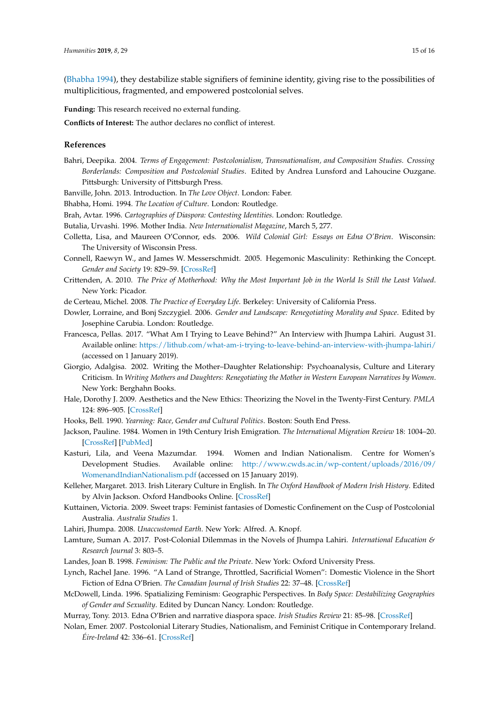(Bhabha 1994), they destabilize stable signifiers of feminine identity, giving rise to the possibilities of multiplicitious, fragmented, and empowered postcolonial selves.

**Funding:** This research received no external funding.

**Conflicts of Interest:** The author declares no conflict of interest.

## **References**

- Bahri, Deepika. 2004. *Terms of Engagement: Postcolonialism, Transnationalism, and Composition Studies. Crossing Borderlands: Composition and Postcolonial Studies*. Edited by Andrea Lunsford and Lahoucine Ouzgane. Pittsburgh: University of Pittsburgh Press.
- Banville, John. 2013. Introduction. In *The Love Object*. London: Faber.
- Bhabha, Homi. 1994. *The Location of Culture*. London: Routledge.
- Brah, Avtar. 1996. *Cartographies of Diaspora: Contesting Identities*. London: Routledge.
- Butalia, Urvashi. 1996. Mother India. *New Internationalist Magazine*, March 5, 277.
- Colletta, Lisa, and Maureen O'Connor, eds. 2006. *Wild Colonial Girl: Essays on Edna O'Brien*. Wisconsin: The University of Wisconsin Press.
- Connell, Raewyn W., and James W. Messerschmidt. 2005. Hegemonic Masculinity: Rethinking the Concept. *Gender and Society* 19: 829–59. [CrossRef]
- Crittenden, A. 2010. *The Price of Motherhood: Why the Most Important Job in the World Is Still the Least Valued*. New York: Picador.

de Certeau, Michel. 2008. *The Practice of Everyday Life*. Berkeley: University of California Press.

- Dowler, Lorraine, and Bonj Szczygiel. 2006. *Gender and Landscape: Renegotiating Morality and Space*. Edited by Josephine Carubia. London: Routledge.
- Francesca, Pellas. 2017. "What Am I Trying to Leave Behind?" An Interview with Jhumpa Lahiri. August 31. Available online: https://lithub.com/what-am-i-trying-to-leave-behind-an-interview-with-jhumpa-lahiri/ (accessed on 1 January 2019).
- Giorgio, Adalgisa. 2002. Writing the Mother–Daughter Relationship: Psychoanalysis, Culture and Literary Criticism. In *Writing Mothers and Daughters: Renegotiating the Mother in Western European Narratives by Women*. New York: Berghahn Books.
- Hale, Dorothy J. 2009. Aesthetics and the New Ethics: Theorizing the Novel in the Twenty-First Century. *PMLA* 124: 896–905. [CrossRef]
- Hooks, Bell. 1990. *Yearning: Race, Gender and Cultural Politics*. Boston: South End Press.
- Jackson, Pauline. 1984. Women in 19th Century Irish Emigration. *The International Migration Review* 18: 1004–20. [CrossRef] [PubMed]
- Kasturi, Lila, and Veena Mazumdar. 1994. Women and Indian Nationalism. Centre for Women's Development Studies. Available online: http://www.cwds.ac.in/wp-content/uploads/2016/09/ WomenandIndianNationalism.pdf (accessed on 15 January 2019).
- Kelleher, Margaret. 2013. Irish Literary Culture in English. In *The Oxford Handbook of Modern Irish History*. Edited by Alvin Jackson. Oxford Handbooks Online. [CrossRef]
- Kuttainen, Victoria. 2009. Sweet traps: Feminist fantasies of Domestic Confinement on the Cusp of Postcolonial Australia. *Australia Studies* 1.
- Lahiri, Jhumpa. 2008. *Unaccustomed Earth*. New York: Alfred. A. Knopf.
- Lamture, Suman A. 2017. Post-Colonial Dilemmas in the Novels of Jhumpa Lahiri. *International Education & Research Journal* 3: 803–5.
- Landes, Joan B. 1998. *Feminism: The Public and the Private*. New York: Oxford University Press.
- Lynch, Rachel Jane. 1996. "A Land of Strange, Throttled, Sacrificial Women": Domestic Violence in the Short Fiction of Edna O'Brien. *The Canadian Journal of Irish Studies* 22: 37–48. [CrossRef]
- McDowell, Linda. 1996. Spatializing Feminism: Geographic Perspectives. In *Body Space: Destabilizing Geographies of Gender and Sexuality*. Edited by Duncan Nancy. London: Routledge.
- Murray, Tony. 2013. Edna O'Brien and narrative diaspora space. *Irish Studies Review* 21: 85–98. [CrossRef]
- Nolan, Emer. 2007. Postcolonial Literary Studies, Nationalism, and Feminist Critique in Contemporary Ireland. *Éire-Ireland* 42: 336–61. [CrossRef]